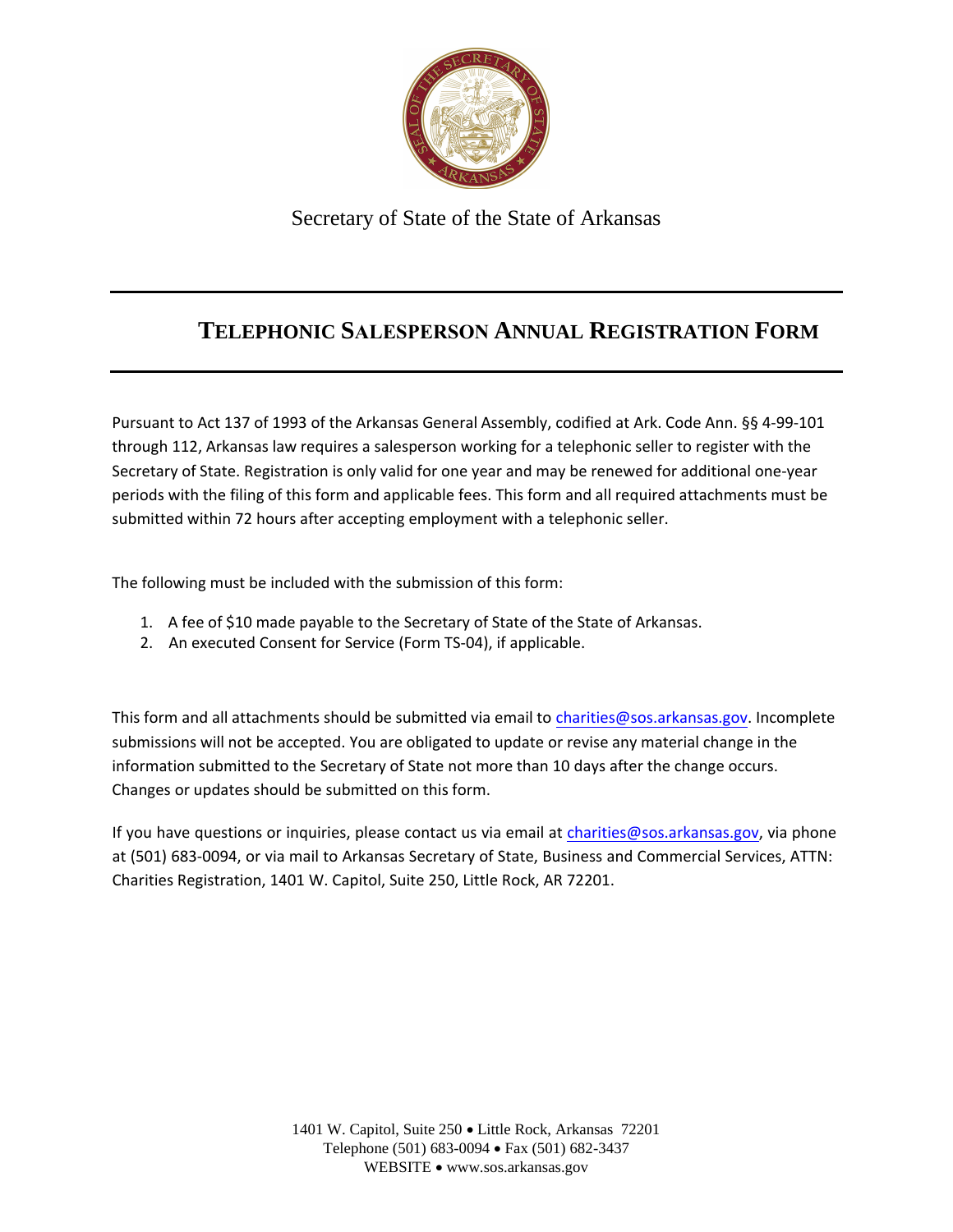

Secretary of State of the State of Arkansas

## **TELEPHONIC SALESPERSON ANNUAL REGISTRATION FORM**

Pursuant to Act 137 of 1993 of the Arkansas General Assembly, codified at Ark. Code Ann. §§ 4-99-101 through 112, Arkansas law requires a salesperson working for a telephonic seller to register with the Secretary of State. Registration is only valid for one year and may be renewed for additional one-year periods with the filing of this form and applicable fees. This form and all required attachments must be submitted within 72 hours after accepting employment with a telephonic seller.

The following must be included with the submission of this form:

- 1. A fee of \$10 made payable to the Secretary of State of the State of Arkansas.
- 2. An executed Consent for Service (Form TS-04), if applicable.

This form and all attachments should be submitted via email to [charities@sos.arkansas.gov](mailto:charities@sos.arkansas.gov). Incomplete submissions will not be accepted. You are obligated to update or revise any material change in the information submitted to the Secretary of State not more than 10 days after the change occurs. Changes or updates should be submitted on this form.

If you have questions or inquiries, please contact us via email at [charities@sos.arkansas.gov](mailto:charities@sos.arkansas.gov), via phone at (501) 683-0094, or via mail to Arkansas Secretary of State, Business and Commercial Services, ATTN: Charities Registration, 1401 W. Capitol, Suite 250, Little Rock, AR 72201.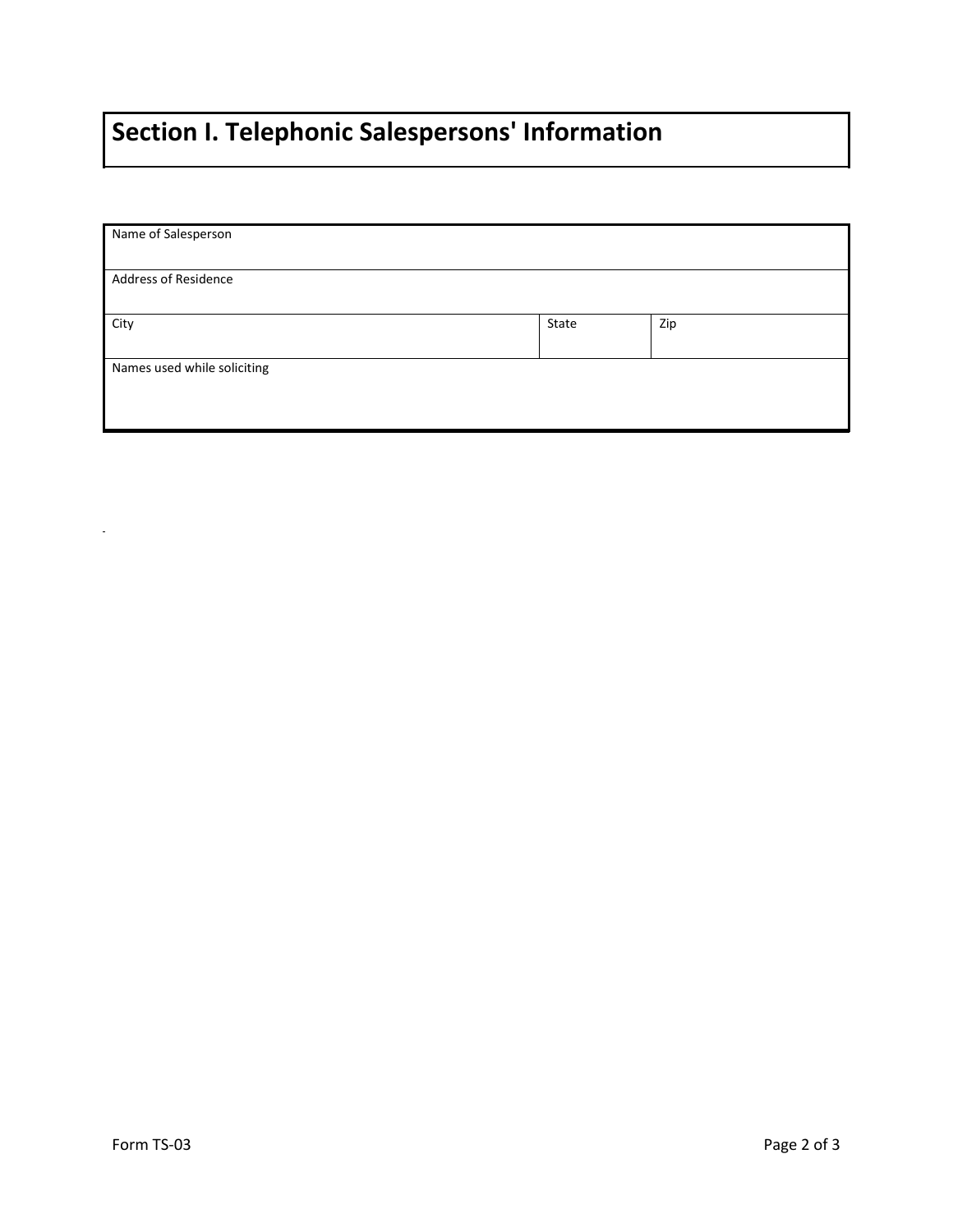## **Section I. Telephonic Salespersons' Information**

| Name of Salesperson         |       |     |
|-----------------------------|-------|-----|
| Address of Residence        |       |     |
| City                        | State | Zip |
| Names used while soliciting |       |     |